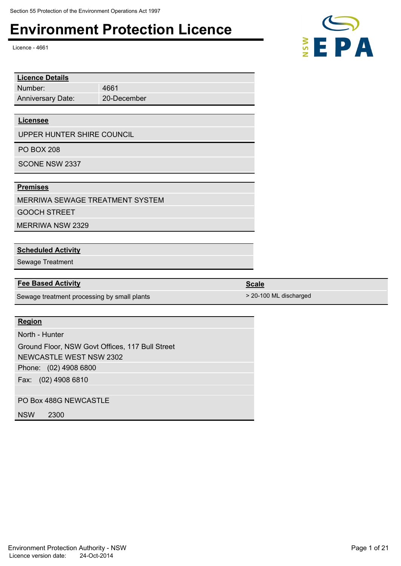# Environment Protection Licence<br>Licence - 4661<br>**E**

Licence - 4661

Number: **Licence Details** Anniversary Date:

 4661 20-December

#### **Licensee**

UPPER HUNTER SHIRE COUNCIL

PO BOX 208

SCONE NSW 2337

#### **Premises**

MERRIWA SEWAGE TREATMENT SYSTEM GOOCH STREET

MERRIWA NSW 2329

#### **Scheduled Activity**

Sewage Treatment

#### **Fee Based Activity Scale Scale Scale Scale Scale**

Sewage treatment processing by small plants  $> 20-100$  ML discharged

#### **Region**

North - Hunter

Phone: (02) 4908 6800 Fax: (02) 4908 6810 Ground Floor, NSW Govt Offices, 117 Bull Street NEWCASTLE WEST NSW 2302

PO Box 488G NEWCASTLE

NSW 2300

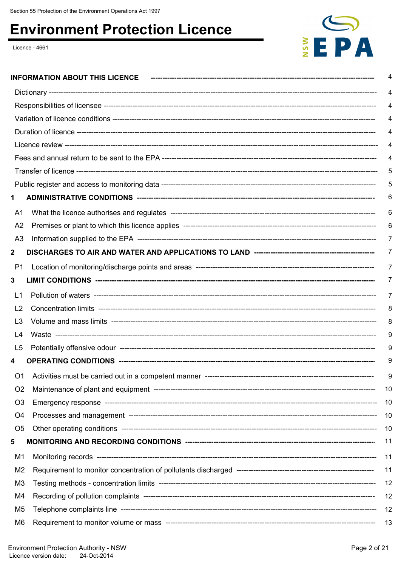### **Environment Protection Licence**

Licence - 4661



|                | <b>INFORMATION ABOUT THIS LICENCE</b> |     |  |
|----------------|---------------------------------------|-----|--|
|                |                                       |     |  |
|                |                                       |     |  |
|                |                                       |     |  |
|                |                                       |     |  |
|                |                                       |     |  |
|                |                                       |     |  |
|                |                                       |     |  |
|                |                                       | ხ   |  |
| 1              |                                       | 6   |  |
| A1             |                                       | 6   |  |
| A <sub>2</sub> |                                       | 6   |  |
| A <sub>3</sub> |                                       |     |  |
| 2              |                                       |     |  |
| P1             |                                       |     |  |
| 3              |                                       | 7   |  |
| L1             |                                       |     |  |
| L <sub>2</sub> |                                       | 8   |  |
| L3             |                                       | 8   |  |
| L4             |                                       | 9   |  |
| L5             |                                       |     |  |
| 4              |                                       | 9   |  |
| O <sub>1</sub> |                                       | 9   |  |
| O <sub>2</sub> |                                       | 10  |  |
| O <sub>3</sub> |                                       | 10  |  |
| O <sub>4</sub> |                                       | 10  |  |
| O <sub>5</sub> |                                       | -10 |  |
| 5              |                                       | 11  |  |
| M1             |                                       | 11  |  |
| M2             |                                       | 11  |  |
| M <sub>3</sub> |                                       | 12  |  |
| M4             |                                       | 12  |  |
| M5             |                                       | 12  |  |
| M6             |                                       | 13  |  |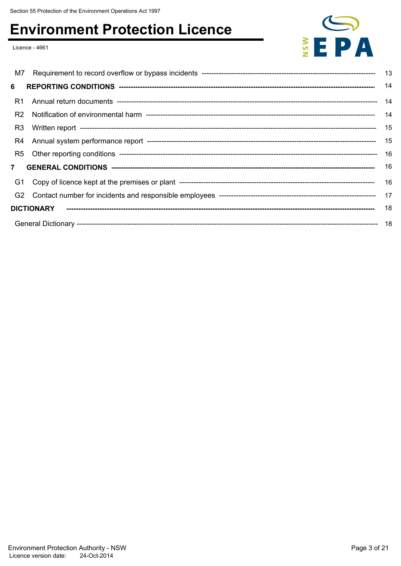### **Environment Protection Licence**

Licence - 4661



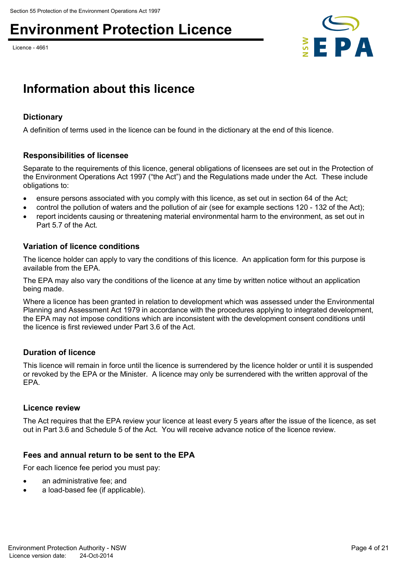## Environment Protection Licence<br>Licence - 4661<br>**EDA**

Licence - 4661



### **Information about this licence**

#### **Dictionary**

A definition of terms used in the licence can be found in the dictionary at the end of this licence.

#### **Responsibilities of licensee**

Separate to the requirements of this licence, general obligations of licensees are set out in the Protection of the Environment Operations Act 1997 ("the Act") and the Regulations made under the Act. These include obligations to:

- ensure persons associated with you comply with this licence, as set out in section 64 of the Act;
- control the pollution of waters and the pollution of air (see for example sections 120 132 of the Act);
- report incidents causing or threatening material environmental harm to the environment, as set out in Part 5.7 of the Act.

#### **Variation of licence conditions**

The licence holder can apply to vary the conditions of this licence. An application form for this purpose is available from the EPA.

The EPA may also vary the conditions of the licence at any time by written notice without an application being made.

Where a licence has been granted in relation to development which was assessed under the Environmental Planning and Assessment Act 1979 in accordance with the procedures applying to integrated development, the EPA may not impose conditions which are inconsistent with the development consent conditions until the licence is first reviewed under Part 3.6 of the Act.

#### **Duration of licence**

This licence will remain in force until the licence is surrendered by the licence holder or until it is suspended or revoked by the EPA or the Minister. A licence may only be surrendered with the written approval of the EPA.

#### **Licence review**

The Act requires that the EPA review your licence at least every 5 years after the issue of the licence, as set out in Part 3.6 and Schedule 5 of the Act. You will receive advance notice of the licence review.

#### **Fees and annual return to be sent to the EPA**

For each licence fee period you must pay:

- an administrative fee; and
- a load-based fee (if applicable).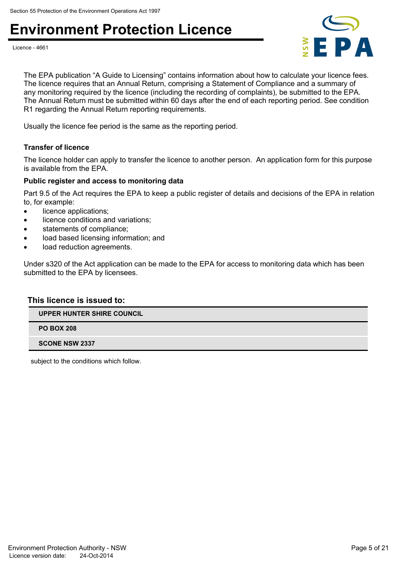### Environment Protection Licence<br>Licence -4661<br>**Examples**





The EPA publication "A Guide to Licensing" contains information about how to calculate your licence fees. The licence requires that an Annual Return, comprising a Statement of Compliance and a summary of any monitoring required by the licence (including the recording of complaints), be submitted to the EPA. The Annual Return must be submitted within 60 days after the end of each reporting period. See condition R1 regarding the Annual Return reporting requirements.

Usually the licence fee period is the same as the reporting period.

#### **Transfer of licence**

The licence holder can apply to transfer the licence to another person. An application form for this purpose is available from the EPA.

#### **Public register and access to monitoring data**

Part 9.5 of the Act requires the EPA to keep a public register of details and decisions of the EPA in relation to, for example:

- licence applications;
- **.** licence conditions and variations;
- statements of compliance;
- load based licensing information; and
- load reduction agreements.

Under s320 of the Act application can be made to the EPA for access to monitoring data which has been submitted to the EPA by licensees.

#### **This licence is issued to:**

**UPPER HUNTER SHIRE COUNCIL**

**PO BOX 208**

**SCONE NSW 2337**

subject to the conditions which follow.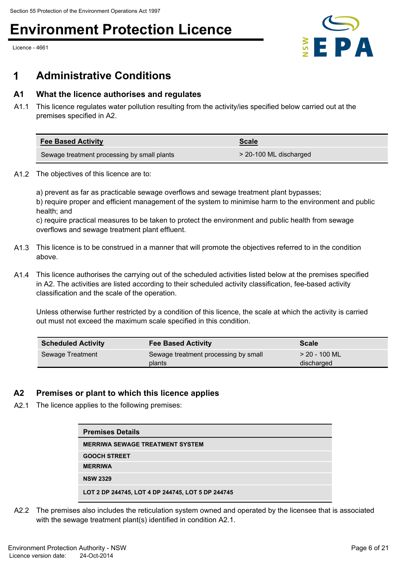Licence - 4661



### **1 Administrative Conditions**

#### **A1 What the licence authorises and regulates**

A1.1 This licence regulates water pollution resulting from the activity/ies specified below carried out at the premises specified in A2.

| <b>Fee Based Activity</b>                   | <b>Scale</b>           |
|---------------------------------------------|------------------------|
| Sewage treatment processing by small plants | > 20-100 ML discharged |

A1.2 The objectives of this licence are to:

a) prevent as far as practicable sewage overflows and sewage treatment plant bypasses; b) require proper and efficient management of the system to minimise harm to the environment and public health; and

c) require practical measures to be taken to protect the environment and public health from sewage overflows and sewage treatment plant effluent.

- A1.3 This licence is to be construed in a manner that will promote the objectives referred to in the condition above.
- A1.4 This licence authorises the carrying out of the scheduled activities listed below at the premises specified in A2. The activities are listed according to their scheduled activity classification, fee-based activity classification and the scale of the operation.

Unless otherwise further restricted by a condition of this licence, the scale at which the activity is carried out must not exceed the maximum scale specified in this condition.

| <b>Scheduled Activity</b> | <b>Fee Based Activity</b>                      | <b>Scale</b>                  |
|---------------------------|------------------------------------------------|-------------------------------|
| Sewage Treatment          | Sewage treatment processing by small<br>plants | $>$ 20 - 100 ML<br>discharged |

#### **A2 Premises or plant to which this licence applies**

A2.1 The licence applies to the following premises:

| <b>Premises Details</b>                           |
|---------------------------------------------------|
| <b>MERRIWA SEWAGE TREATMENT SYSTEM</b>            |
| <b>GOOCH STREET</b>                               |
| <b>MERRIWA</b>                                    |
| <b>NSW 2329</b>                                   |
| LOT 2 DP 244745, LOT 4 DP 244745, LOT 5 DP 244745 |

A2.2 The premises also includes the reticulation system owned and operated by the licensee that is associated with the sewage treatment plant(s) identified in condition A2.1.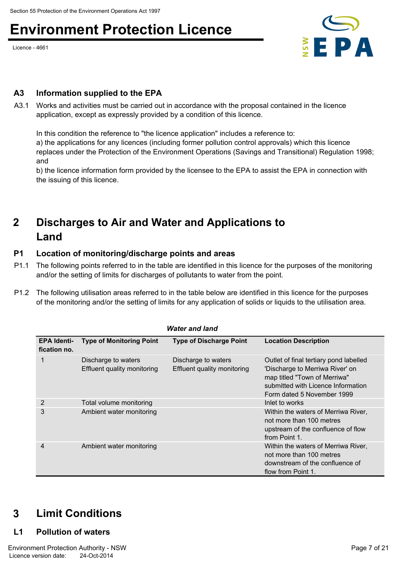Licence - 4661



#### **A3 Information supplied to the EPA**

A3.1 Works and activities must be carried out in accordance with the proposal contained in the licence application, except as expressly provided by a condition of this licence.

In this condition the reference to "the licence application" includes a reference to: a) the applications for any licences (including former pollution control approvals) which this licence replaces under the Protection of the Environment Operations (Savings and Transitional) Regulation 1998; and

b) the licence information form provided by the licensee to the EPA to assist the EPA in connection with the issuing of this licence.

### **Discharges to Air and Water and Applications to 2 Land**

#### **P1 Location of monitoring/discharge points and areas**

- P1.1 The following points referred to in the table are identified in this licence for the purposes of the monitoring and/or the setting of limits for discharges of pollutants to water from the point.
- P1.2 The following utilisation areas referred to in the table below are identified in this licence for the purposes of the monitoring and/or the setting of limits for any application of solids or liquids to the utilisation area.

|                                    |                                                    | <b>Water and land</b>                              |                                                                                                                                                                               |
|------------------------------------|----------------------------------------------------|----------------------------------------------------|-------------------------------------------------------------------------------------------------------------------------------------------------------------------------------|
| <b>EPA Identi-</b><br>fication no. | <b>Type of Monitoring Point</b>                    | <b>Type of Discharge Point</b>                     | <b>Location Description</b>                                                                                                                                                   |
|                                    | Discharge to waters<br>Effluent quality monitoring | Discharge to waters<br>Effluent quality monitoring | Outlet of final tertiary pond labelled<br>'Discharge to Merriwa River' on<br>map titled "Town of Merriwa"<br>submitted with Licence Information<br>Form dated 5 November 1999 |
| 2                                  | Total volume monitoring                            |                                                    | Inlet to works                                                                                                                                                                |
| 3                                  | Ambient water monitoring                           |                                                    | Within the waters of Merriwa River,<br>not more than 100 metres<br>upstream of the confluence of flow<br>from Point 1.                                                        |
| 4                                  | Ambient water monitoring                           |                                                    | Within the waters of Merriwa River,<br>not more than 100 metres<br>downstream of the confluence of<br>flow from Point 1.                                                      |

### **3 Limit Conditions**

#### **L1 Pollution of waters**

Environment Protection Authority - NSW **Page 7 of 21** Authority - NSW Page 7 of 21 Licence version date: 24-Oct-2014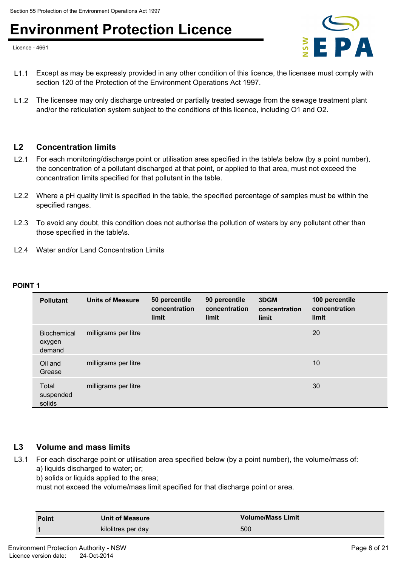### Environment Protection Licence<br>Licence -4661<br>**Example 2014 1986**

Licence - 4661



- L1.1 Except as may be expressly provided in any other condition of this licence, the licensee must comply with section 120 of the Protection of the Environment Operations Act 1997.
- L1.2 The licensee may only discharge untreated or partially treated sewage from the sewage treatment plant and/or the reticulation system subject to the conditions of this licence, including O1 and O2.

#### **L2 Concentration limits**

- L2.1 For each monitoring/discharge point or utilisation area specified in the table\s below (by a point number), the concentration of a pollutant discharged at that point, or applied to that area, must not exceed the concentration limits specified for that pollutant in the table.
- L2.2 Where a pH quality limit is specified in the table, the specified percentage of samples must be within the specified ranges.
- L2.3 To avoid any doubt, this condition does not authorise the pollution of waters by any pollutant other than those specified in the table\s.
- L2.4 Water and/or Land Concentration Limits

#### **POINT 1**

| <b>Pollutant</b>                       | <b>Units of Measure</b> | 50 percentile<br>concentration<br>limit | 90 percentile<br>concentration<br>limit | 3DGM<br>concentration<br>limit | 100 percentile<br>concentration<br>limit |
|----------------------------------------|-------------------------|-----------------------------------------|-----------------------------------------|--------------------------------|------------------------------------------|
| <b>Biochemical</b><br>oxygen<br>demand | milligrams per litre    |                                         |                                         |                                | 20                                       |
| Oil and<br>Grease                      | milligrams per litre    |                                         |                                         |                                | 10                                       |
| Total<br>suspended<br>solids           | milligrams per litre    |                                         |                                         |                                | 30                                       |

#### **L3 Volume and mass limits**

- L3.1 For each discharge point or utilisation area specified below (by a point number), the volume/mass of: a) liquids discharged to water; or;
	- b) solids or liquids applied to the area;

must not exceed the volume/mass limit specified for that discharge point or area.

| <b>Point</b> | <b>Unit of Measure</b> | <b>Volume/Mass Limit</b> |
|--------------|------------------------|--------------------------|
|              | kilolitres per day     | 500                      |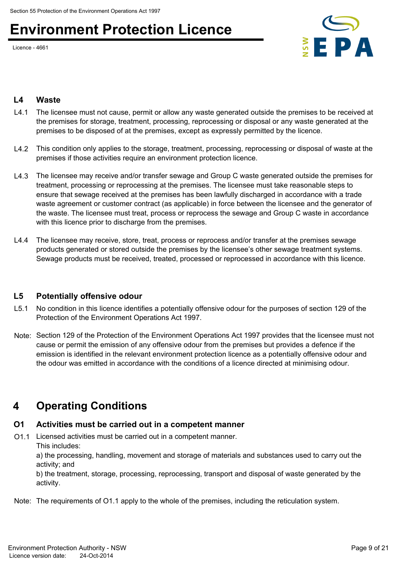Licence - 4661



#### **L4 Waste**

- L4.1 The licensee must not cause, permit or allow any waste generated outside the premises to be received at the premises for storage, treatment, processing, reprocessing or disposal or any waste generated at the premises to be disposed of at the premises, except as expressly permitted by the licence.
- L4.2 This condition only applies to the storage, treatment, processing, reprocessing or disposal of waste at the premises if those activities require an environment protection licence.
- L4.3 The licensee may receive and/or transfer sewage and Group C waste generated outside the premises for treatment, processing or reprocessing at the premises. The licensee must take reasonable steps to ensure that sewage received at the premises has been lawfully discharged in accordance with a trade waste agreement or customer contract (as applicable) in force between the licensee and the generator of the waste. The licensee must treat, process or reprocess the sewage and Group C waste in accordance with this licence prior to discharge from the premises.
- L4.4 The licensee may receive, store, treat, process or reprocess and/or transfer at the premises sewage products generated or stored outside the premises by the licensee's other sewage treatment systems. Sewage products must be received, treated, processed or reprocessed in accordance with this licence.

#### **L5 Potentially offensive odour**

- L5.1 No condition in this licence identifies a potentially offensive odour for the purposes of section 129 of the Protection of the Environment Operations Act 1997.
- Note: Section 129 of the Protection of the Environment Operations Act 1997 provides that the licensee must not cause or permit the emission of any offensive odour from the premises but provides a defence if the emission is identified in the relevant environment protection licence as a potentially offensive odour and the odour was emitted in accordance with the conditions of a licence directed at minimising odour.

### **4 Operating Conditions**

#### **O1 Activities must be carried out in a competent manner**

O1.1 Licensed activities must be carried out in a competent manner.

This includes:

a) the processing, handling, movement and storage of materials and substances used to carry out the activity; and

b) the treatment, storage, processing, reprocessing, transport and disposal of waste generated by the activity.

Note: The requirements of O1.1 apply to the whole of the premises, including the reticulation system.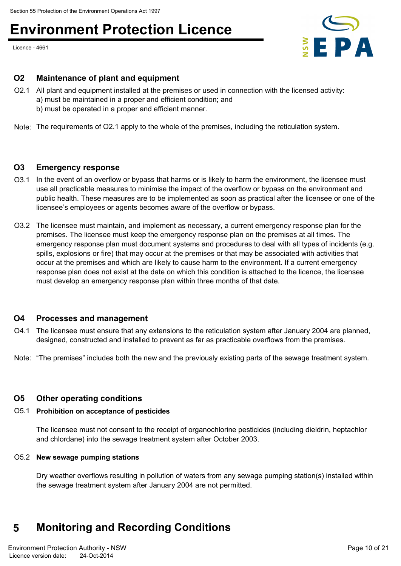Licence - 4661



#### **O2 Maintenance of plant and equipment**

- O2.1 All plant and equipment installed at the premises or used in connection with the licensed activity: a) must be maintained in a proper and efficient condition; and b) must be operated in a proper and efficient manner.
- Note: The requirements of O2.1 apply to the whole of the premises, including the reticulation system.

#### **O3 Emergency response**

- O3.1 In the event of an overflow or bypass that harms or is likely to harm the environment, the licensee must use all practicable measures to minimise the impact of the overflow or bypass on the environment and public health. These measures are to be implemented as soon as practical after the licensee or one of the licensee's employees or agents becomes aware of the overflow or bypass.
- O3.2 The licensee must maintain, and implement as necessary, a current emergency response plan for the premises. The licensee must keep the emergency response plan on the premises at all times. The emergency response plan must document systems and procedures to deal with all types of incidents (e.g. spills, explosions or fire) that may occur at the premises or that may be associated with activities that occur at the premises and which are likely to cause harm to the environment. If a current emergency response plan does not exist at the date on which this condition is attached to the licence, the licensee must develop an emergency response plan within three months of that date.

#### **O4 Processes and management**

- O4.1 The licensee must ensure that any extensions to the reticulation system after January 2004 are planned, designed, constructed and installed to prevent as far as practicable overflows from the premises.
- Note: "The premises" includes both the new and the previously existing parts of the sewage treatment system.

#### **O5 Other operating conditions**

#### O5.1 **Prohibition on acceptance of pesticides**

The licensee must not consent to the receipt of organochlorine pesticides (including dieldrin, heptachlor and chlordane) into the sewage treatment system after October 2003.

#### O5.2 **New sewage pumping stations**

Dry weather overflows resulting in pollution of waters from any sewage pumping station(s) installed within the sewage treatment system after January 2004 are not permitted.

### **5 Monitoring and Recording Conditions**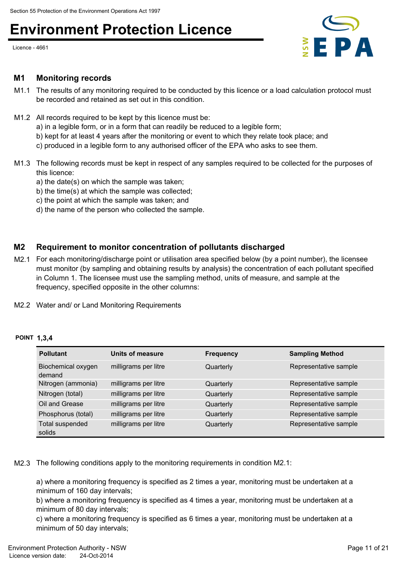Licence - 4661



#### **M1 Monitoring records**

- M1.1 The results of any monitoring required to be conducted by this licence or a load calculation protocol must be recorded and retained as set out in this condition.
- M1.2 All records required to be kept by this licence must be:
	- a) in a legible form, or in a form that can readily be reduced to a legible form;
	- b) kept for at least 4 years after the monitoring or event to which they relate took place; and
	- c) produced in a legible form to any authorised officer of the EPA who asks to see them.
- M1.3 The following records must be kept in respect of any samples required to be collected for the purposes of this licence:
	- a) the date(s) on which the sample was taken;
	- b) the time(s) at which the sample was collected;
	- c) the point at which the sample was taken; and
	- d) the name of the person who collected the sample.

#### **M2 Requirement to monitor concentration of pollutants discharged**

- M2.1 For each monitoring/discharge point or utilisation area specified below (by a point number), the licensee must monitor (by sampling and obtaining results by analysis) the concentration of each pollutant specified in Column 1. The licensee must use the sampling method, units of measure, and sample at the frequency, specified opposite in the other columns:
- M2.2 Water and/ or Land Monitoring Requirements

#### **POINT 1,3,4**

| <b>Pollutant</b>             | Units of measure     | <b>Frequency</b> | <b>Sampling Method</b> |
|------------------------------|----------------------|------------------|------------------------|
| Biochemical oxygen<br>demand | milligrams per litre | Quarterly        | Representative sample  |
| Nitrogen (ammonia)           | milligrams per litre | Quarterly        | Representative sample  |
| Nitrogen (total)             | milligrams per litre | Quarterly        | Representative sample  |
| Oil and Grease               | milligrams per litre | Quarterly        | Representative sample  |
| Phosphorus (total)           | milligrams per litre | Quarterly        | Representative sample  |
| Total suspended<br>solids    | milligrams per litre | Quarterly        | Representative sample  |

M2.3 The following conditions apply to the monitoring requirements in condition M2.1:

a) where a monitoring frequency is specified as 2 times a year, monitoring must be undertaken at a minimum of 160 day intervals;

b) where a monitoring frequency is specified as 4 times a year, monitoring must be undertaken at a minimum of 80 day intervals;

c) where a monitoring frequency is specified as 6 times a year, monitoring must be undertaken at a minimum of 50 day intervals;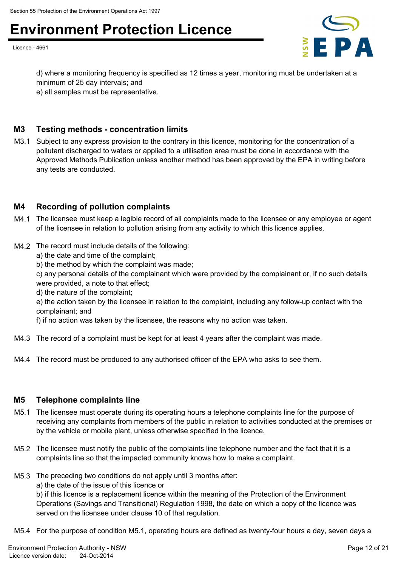## Environment Protection Licence<br>
<del>Licence -4661</del>

Licence - 4661



d) where a monitoring frequency is specified as 12 times a year, monitoring must be undertaken at a minimum of 25 day intervals; and

e) all samples must be representative.

#### **M3 Testing methods - concentration limits**

M3.1 Subject to any express provision to the contrary in this licence, monitoring for the concentration of a pollutant discharged to waters or applied to a utilisation area must be done in accordance with the Approved Methods Publication unless another method has been approved by the EPA in writing before any tests are conducted.

#### **M4 Recording of pollution complaints**

- M4.1 The licensee must keep a legible record of all complaints made to the licensee or any employee or agent of the licensee in relation to pollution arising from any activity to which this licence applies.
- M4.2 The record must include details of the following:
	- a) the date and time of the complaint;
	- b) the method by which the complaint was made;

c) any personal details of the complainant which were provided by the complainant or, if no such details were provided, a note to that effect;

d) the nature of the complaint;

e) the action taken by the licensee in relation to the complaint, including any follow-up contact with the complainant; and

f) if no action was taken by the licensee, the reasons why no action was taken.

- M4.3 The record of a complaint must be kept for at least 4 years after the complaint was made.
- M4.4 The record must be produced to any authorised officer of the EPA who asks to see them.

#### **M5 Telephone complaints line**

- M5.1 The licensee must operate during its operating hours a telephone complaints line for the purpose of receiving any complaints from members of the public in relation to activities conducted at the premises or by the vehicle or mobile plant, unless otherwise specified in the licence.
- M5.2 The licensee must notify the public of the complaints line telephone number and the fact that it is a complaints line so that the impacted community knows how to make a complaint.
- M5.3 The preceding two conditions do not apply until 3 months after:
	- a) the date of the issue of this licence or

b) if this licence is a replacement licence within the meaning of the Protection of the Environment Operations (Savings and Transitional) Regulation 1998, the date on which a copy of the licence was served on the licensee under clause 10 of that regulation.

M5.4 For the purpose of condition M5.1, operating hours are defined as twenty-four hours a day, seven days a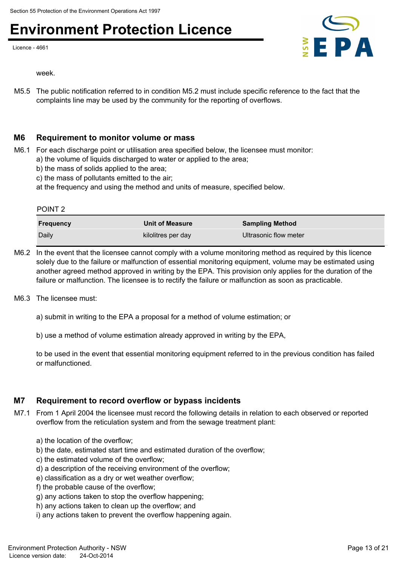Licence - 4661



week.

M5.5 The public notification referred to in condition M5.2 must include specific reference to the fact that the complaints line may be used by the community for the reporting of overflows.

#### **M6 Requirement to monitor volume or mass**

- M6.1 For each discharge point or utilisation area specified below, the licensee must monitor: a) the volume of liquids discharged to water or applied to the area;
	- b) the mass of solids applied to the area;
	- c) the mass of pollutants emitted to the air;
	- at the frequency and using the method and units of measure, specified below.

POINT 2

| <b>Frequency</b> | <b>Unit of Measure</b> | <b>Sampling Method</b> |
|------------------|------------------------|------------------------|
| Daily            | kilolitres per day     | Ultrasonic flow meter  |

- M6.2 In the event that the licensee cannot comply with a volume monitoring method as required by this licence solely due to the failure or malfunction of essential monitoring equipment, volume may be estimated using another agreed method approved in writing by the EPA. This provision only applies for the duration of the failure or malfunction. The licensee is to rectify the failure or malfunction as soon as practicable.
- M6.3 The licensee must:
	- a) submit in writing to the EPA a proposal for a method of volume estimation; or
	- b) use a method of volume estimation already approved in writing by the EPA,

to be used in the event that essential monitoring equipment referred to in the previous condition has failed or malfunctioned.

#### **M7 Requirement to record overflow or bypass incidents**

- M7.1 From 1 April 2004 the licensee must record the following details in relation to each observed or reported overflow from the reticulation system and from the sewage treatment plant:
	- a) the location of the overflow;
	- b) the date, estimated start time and estimated duration of the overflow;
	- c) the estimated volume of the overflow;
	- d) a description of the receiving environment of the overflow;
	- e) classification as a dry or wet weather overflow;
	- f) the probable cause of the overflow;
	- g) any actions taken to stop the overflow happening;
	- h) any actions taken to clean up the overflow; and
	- i) any actions taken to prevent the overflow happening again.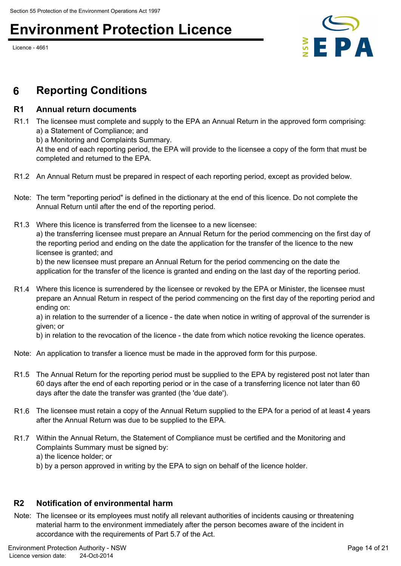## Environment Protection Licence<br>Network 2001

Licence - 4661



### **6 Reporting Conditions**

#### **R1 Annual return documents**

R1.1 The licensee must complete and supply to the EPA an Annual Return in the approved form comprising: a) a Statement of Compliance; and

b) a Monitoring and Complaints Summary.

At the end of each reporting period, the EPA will provide to the licensee a copy of the form that must be completed and returned to the EPA.

- R1.2 An Annual Return must be prepared in respect of each reporting period, except as provided below.
- Note: The term "reporting period" is defined in the dictionary at the end of this licence. Do not complete the Annual Return until after the end of the reporting period.
- R1.3 Where this licence is transferred from the licensee to a new licensee: a) the transferring licensee must prepare an Annual Return for the period commencing on the first day of the reporting period and ending on the date the application for the transfer of the licence to the new licensee is granted; and

b) the new licensee must prepare an Annual Return for the period commencing on the date the application for the transfer of the licence is granted and ending on the last day of the reporting period.

R1.4 Where this licence is surrendered by the licensee or revoked by the EPA or Minister, the licensee must prepare an Annual Return in respect of the period commencing on the first day of the reporting period and ending on:

a) in relation to the surrender of a licence - the date when notice in writing of approval of the surrender is given; or

b) in relation to the revocation of the licence - the date from which notice revoking the licence operates.

- Note: An application to transfer a licence must be made in the approved form for this purpose.
- R1.5 The Annual Return for the reporting period must be supplied to the EPA by registered post not later than 60 days after the end of each reporting period or in the case of a transferring licence not later than 60 days after the date the transfer was granted (the 'due date').
- R1.6 The licensee must retain a copy of the Annual Return supplied to the EPA for a period of at least 4 years after the Annual Return was due to be supplied to the EPA.
- R1.7 Within the Annual Return, the Statement of Compliance must be certified and the Monitoring and Complaints Summary must be signed by: a) the licence holder; or
	- b) by a person approved in writing by the EPA to sign on behalf of the licence holder.

#### **R2 Notification of environmental harm**

Note: The licensee or its employees must notify all relevant authorities of incidents causing or threatening material harm to the environment immediately after the person becomes aware of the incident in accordance with the requirements of Part 5.7 of the Act.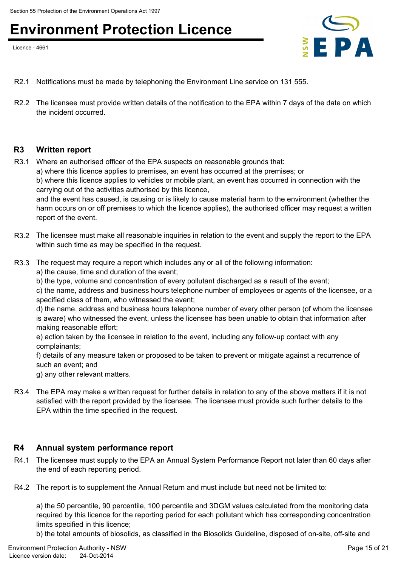Licence - 4661



- R2.1 Notifications must be made by telephoning the Environment Line service on 131 555.
- R2.2 The licensee must provide written details of the notification to the EPA within 7 days of the date on which the incident occurred.

#### **R3 Written report**

R3.1 Where an authorised officer of the EPA suspects on reasonable grounds that: a) where this licence applies to premises, an event has occurred at the premises; or b) where this licence applies to vehicles or mobile plant, an event has occurred in connection with the carrying out of the activities authorised by this licence,

and the event has caused, is causing or is likely to cause material harm to the environment (whether the harm occurs on or off premises to which the licence applies), the authorised officer may request a written report of the event.

- R3.2 The licensee must make all reasonable inquiries in relation to the event and supply the report to the EPA within such time as may be specified in the request.
- R3.3 The request may require a report which includes any or all of the following information:
	- a) the cause, time and duration of the event;
	- b) the type, volume and concentration of every pollutant discharged as a result of the event;

c) the name, address and business hours telephone number of employees or agents of the licensee, or a specified class of them, who witnessed the event;

d) the name, address and business hours telephone number of every other person (of whom the licensee is aware) who witnessed the event, unless the licensee has been unable to obtain that information after making reasonable effort;

e) action taken by the licensee in relation to the event, including any follow-up contact with any complainants;

f) details of any measure taken or proposed to be taken to prevent or mitigate against a recurrence of such an event; and

g) any other relevant matters.

R3.4 The EPA may make a written request for further details in relation to any of the above matters if it is not satisfied with the report provided by the licensee. The licensee must provide such further details to the EPA within the time specified in the request.

#### **R4 Annual system performance report**

- R4.1 The licensee must supply to the EPA an Annual System Performance Report not later than 60 days after the end of each reporting period.
- R4.2 The report is to supplement the Annual Return and must include but need not be limited to:

a) the 50 percentile, 90 percentile, 100 percentile and 3DGM values calculated from the monitoring data required by this licence for the reporting period for each pollutant which has corresponding concentration limits specified in this licence;

b) the total amounts of biosolids, as classified in the Biosolids Guideline, disposed of on-site, off-site and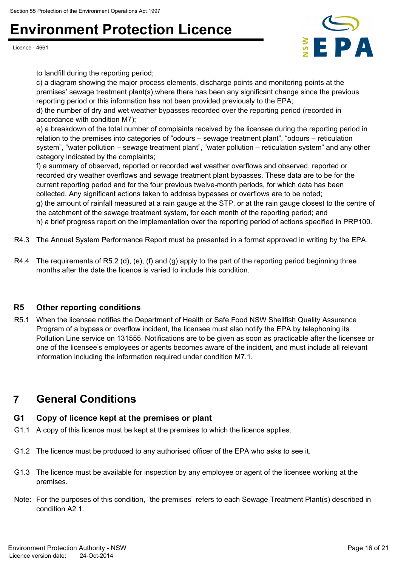Licence - 4661



to landfill during the reporting period;

c) a diagram showing the major process elements, discharge points and monitoring points at the premises' sewage treatment plant(s),where there has been any significant change since the previous reporting period or this information has not been provided previously to the EPA;

d) the number of dry and wet weather bypasses recorded over the reporting period (recorded in accordance with condition M7);

e) a breakdown of the total number of complaints received by the licensee during the reporting period in relation to the premises into categories of "odours – sewage treatment plant", "odours – reticulation system", "water pollution – sewage treatment plant", "water pollution – reticulation system" and any other category indicated by the complaints;

f) a summary of observed, reported or recorded wet weather overflows and observed, reported or recorded dry weather overflows and sewage treatment plant bypasses. These data are to be for the current reporting period and for the four previous twelve-month periods, for which data has been collected. Any significant actions taken to address bypasses or overflows are to be noted; g) the amount of rainfall measured at a rain gauge at the STP, or at the rain gauge closest to the centre of the catchment of the sewage treatment system, for each month of the reporting period; and h) a brief progress report on the implementation over the reporting period of actions specified in PRP100.

- R4.3 The Annual System Performance Report must be presented in a format approved in writing by the EPA.
- R4.4 The requirements of R5.2 (d), (e), (f) and (g) apply to the part of the reporting period beginning three months after the date the licence is varied to include this condition.

#### **R5 Other reporting conditions**

R5.1 When the licensee notifies the Department of Health or Safe Food NSW Shellfish Quality Assurance Program of a bypass or overflow incident, the licensee must also notify the EPA by telephoning its Pollution Line service on 131555. Notifications are to be given as soon as practicable after the licensee or one of the licensee's employees or agents becomes aware of the incident, and must include all relevant information including the information required under condition M7.1.

### **7 General Conditions**

#### **G1 Copy of licence kept at the premises or plant**

- G1.1 A copy of this licence must be kept at the premises to which the licence applies.
- G1.2 The licence must be produced to any authorised officer of the EPA who asks to see it.
- G1.3 The licence must be available for inspection by any employee or agent of the licensee working at the premises.
- Note: For the purposes of this condition, "the premises" refers to each Sewage Treatment Plant(s) described in condition A2.1.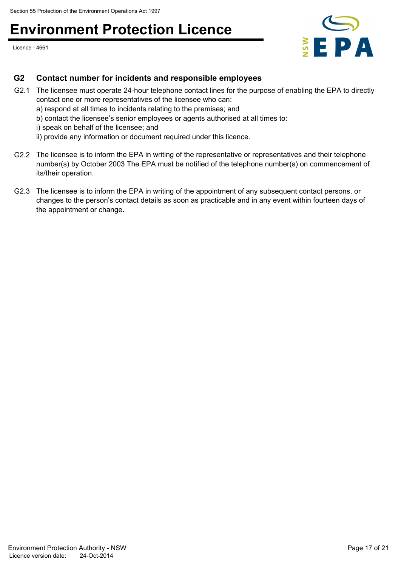## Environment Protection Licence<br>Network 2001

Licence - 4661



#### **G2 Contact number for incidents and responsible employees**

- G2.1 The licensee must operate 24-hour telephone contact lines for the purpose of enabling the EPA to directly contact one or more representatives of the licensee who can:
	- a) respond at all times to incidents relating to the premises; and
	- b) contact the licensee's senior employees or agents authorised at all times to:
	- i) speak on behalf of the licensee; and
	- ii) provide any information or document required under this licence.
- G2.2 The licensee is to inform the EPA in writing of the representative or representatives and their telephone number(s) by October 2003 The EPA must be notified of the telephone number(s) on commencement of its/their operation.
- G2.3 The licensee is to inform the EPA in writing of the appointment of any subsequent contact persons, or changes to the person's contact details as soon as practicable and in any event within fourteen days of the appointment or change.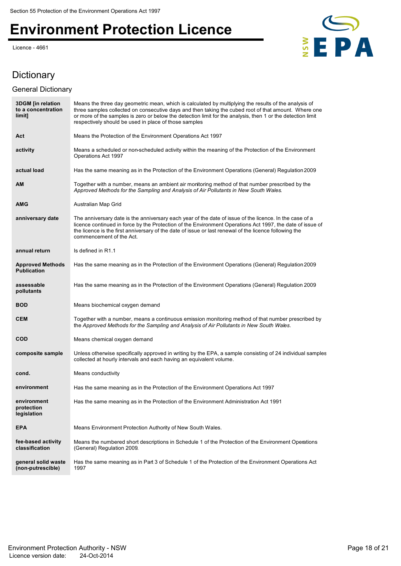# Environment Protection Licence<br>Licence -4661<br>**E**

Licence - 4661



### **Dictionary**

#### General Dictionary

| <b>3DGM</b> [in relation<br>to a concentration<br>limit] | Means the three day geometric mean, which is calculated by multiplying the results of the analysis of<br>three samples collected on consecutive days and then taking the cubed root of that amount. Where one<br>or more of the samples is zero or below the detection limit for the analysis, then 1 or the detection limit<br>respectively should be used in place of those samples |
|----------------------------------------------------------|---------------------------------------------------------------------------------------------------------------------------------------------------------------------------------------------------------------------------------------------------------------------------------------------------------------------------------------------------------------------------------------|
| Act                                                      | Means the Protection of the Environment Operations Act 1997                                                                                                                                                                                                                                                                                                                           |
| activity                                                 | Means a scheduled or non-scheduled activity within the meaning of the Protection of the Environment<br>Operations Act 1997                                                                                                                                                                                                                                                            |
| actual load                                              | Has the same meaning as in the Protection of the Environment Operations (General) Regulation 2009                                                                                                                                                                                                                                                                                     |
| AM                                                       | Together with a number, means an ambient air monitoring method of that number prescribed by the<br>Approved Methods for the Sampling and Analysis of Air Pollutants in New South Wales.                                                                                                                                                                                               |
| AMG                                                      | Australian Map Grid                                                                                                                                                                                                                                                                                                                                                                   |
| anniversary date                                         | The anniversary date is the anniversary each year of the date of issue of the licence. In the case of a<br>licence continued in force by the Protection of the Environment Operations Act 1997, the date of issue of<br>the licence is the first anniversary of the date of issue or last renewal of the licence following the<br>commencement of the Act.                            |
| annual return                                            | Is defined in R1.1                                                                                                                                                                                                                                                                                                                                                                    |
| <b>Approved Methods</b><br><b>Publication</b>            | Has the same meaning as in the Protection of the Environment Operations (General) Regulation 2009                                                                                                                                                                                                                                                                                     |
| assessable<br>pollutants                                 | Has the same meaning as in the Protection of the Environment Operations (General) Regulation 2009                                                                                                                                                                                                                                                                                     |
| <b>BOD</b>                                               | Means biochemical oxygen demand                                                                                                                                                                                                                                                                                                                                                       |
| <b>CEM</b>                                               | Together with a number, means a continuous emission monitoring method of that number prescribed by<br>the Approved Methods for the Sampling and Analysis of Air Pollutants in New South Wales.                                                                                                                                                                                        |
| COD                                                      | Means chemical oxygen demand                                                                                                                                                                                                                                                                                                                                                          |
| composite sample                                         | Unless otherwise specifically approved in writing by the EPA, a sample consisting of 24 individual samples<br>collected at hourly intervals and each having an equivalent volume.                                                                                                                                                                                                     |
| cond.                                                    | Means conductivity                                                                                                                                                                                                                                                                                                                                                                    |
| environment                                              | Has the same meaning as in the Protection of the Environment Operations Act 1997                                                                                                                                                                                                                                                                                                      |
| environment<br>protection<br>legislation                 | Has the same meaning as in the Protection of the Environment Administration Act 1991                                                                                                                                                                                                                                                                                                  |
| <b>EPA</b>                                               | Means Environment Protection Authority of New South Wales.                                                                                                                                                                                                                                                                                                                            |
| fee-based activity<br>classification                     | Means the numbered short descriptions in Schedule 1 of the Protection of the Environment Operations<br>(General) Regulation 2009.                                                                                                                                                                                                                                                     |
| general solid waste<br>(non-putrescible)                 | Has the same meaning as in Part 3 of Schedule 1 of the Protection of the Environment Operations Act<br>1997                                                                                                                                                                                                                                                                           |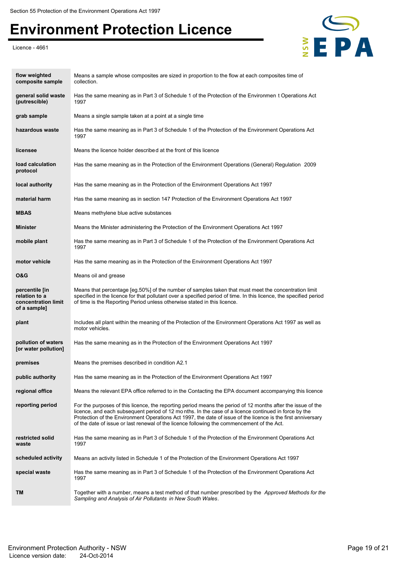# Environment Protection Licence<br>Licence -4661<br>EPA

Licence - 4661



| flow weighted<br>composite sample                                      | Means a sample whose composites are sized in proportion to the flow at each composites time of<br>collection.                                                                                                                                                                                                                                                                                                                     |
|------------------------------------------------------------------------|-----------------------------------------------------------------------------------------------------------------------------------------------------------------------------------------------------------------------------------------------------------------------------------------------------------------------------------------------------------------------------------------------------------------------------------|
| general solid waste<br>(putrescible)                                   | Has the same meaning as in Part 3 of Schedule 1 of the Protection of the Environmen t Operations Act<br>1997                                                                                                                                                                                                                                                                                                                      |
| grab sample                                                            | Means a single sample taken at a point at a single time                                                                                                                                                                                                                                                                                                                                                                           |
| hazardous waste                                                        | Has the same meaning as in Part 3 of Schedule 1 of the Protection of the Environment Operations Act<br>1997                                                                                                                                                                                                                                                                                                                       |
| licensee                                                               | Means the licence holder described at the front of this licence                                                                                                                                                                                                                                                                                                                                                                   |
| load calculation<br>protocol                                           | Has the same meaning as in the Protection of the Environment Operations (General) Regulation 2009                                                                                                                                                                                                                                                                                                                                 |
| local authority                                                        | Has the same meaning as in the Protection of the Environment Operations Act 1997                                                                                                                                                                                                                                                                                                                                                  |
| material harm                                                          | Has the same meaning as in section 147 Protection of the Environment Operations Act 1997                                                                                                                                                                                                                                                                                                                                          |
| <b>MBAS</b>                                                            | Means methylene blue active substances                                                                                                                                                                                                                                                                                                                                                                                            |
| <b>Minister</b>                                                        | Means the Minister administering the Protection of the Environment Operations Act 1997                                                                                                                                                                                                                                                                                                                                            |
| mobile plant                                                           | Has the same meaning as in Part 3 of Schedule 1 of the Protection of the Environment Operations Act<br>1997                                                                                                                                                                                                                                                                                                                       |
| motor vehicle                                                          | Has the same meaning as in the Protection of the Environment Operations Act 1997                                                                                                                                                                                                                                                                                                                                                  |
| <b>O&amp;G</b>                                                         | Means oil and grease                                                                                                                                                                                                                                                                                                                                                                                                              |
| percentile [in<br>relation to a<br>concentration limit<br>of a sample] | Means that percentage [eg.50%] of the number of samples taken that must meet the concentration limit<br>specified in the licence for that pollutant over a specified period of time. In this licence, the specified period<br>of time is the Reporting Period unless otherwise stated in this licence.                                                                                                                            |
| plant                                                                  | Includes all plant within the meaning of the Protection of the Environment Operations Act 1997 as well as<br>motor vehicles.                                                                                                                                                                                                                                                                                                      |
| pollution of waters<br>[or water pollution]                            | Has the same meaning as in the Protection of the Environment Operations Act 1997                                                                                                                                                                                                                                                                                                                                                  |
| premises                                                               | Means the premises described in condition A2.1                                                                                                                                                                                                                                                                                                                                                                                    |
| public authority                                                       | Has the same meaning as in the Protection of the Environment Operations Act 1997                                                                                                                                                                                                                                                                                                                                                  |
| regional office                                                        | Means the relevant EPA office referred to in the Contacting the EPA document accompanying this licence                                                                                                                                                                                                                                                                                                                            |
| reporting period                                                       | For the purposes of this licence, the reporting period means the period of 12 months after the issue of the<br>licence, and each subsequent period of 12 months. In the case of a licence continued in force by the<br>Protection of the Environment Operations Act 1997, the date of issue of the licence is the first anniversary<br>of the date of issue or last renewal of the licence following the commencement of the Act. |
| restricted solid<br>waste                                              | Has the same meaning as in Part 3 of Schedule 1 of the Protection of the Environment Operations Act<br>1997                                                                                                                                                                                                                                                                                                                       |
| scheduled activity                                                     | Means an activity listed in Schedule 1 of the Protection of the Environment Operations Act 1997                                                                                                                                                                                                                                                                                                                                   |
| special waste                                                          | Has the same meaning as in Part 3 of Schedule 1 of the Protection of the Environment Operations Act<br>1997                                                                                                                                                                                                                                                                                                                       |
| TM                                                                     | Together with a number, means a test method of that number prescribed by the Approved Methods for the<br>Sampling and Analysis of Air Pollutants in New South Wales.                                                                                                                                                                                                                                                              |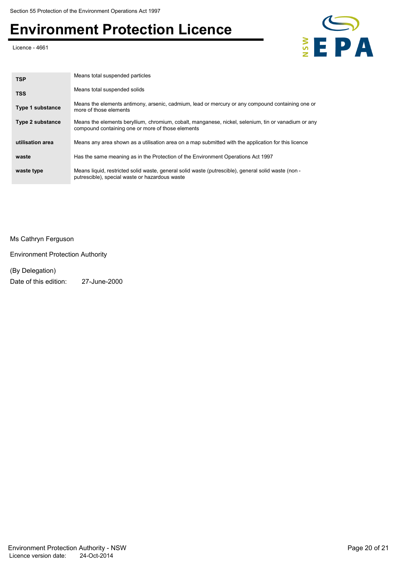# Environment Protection Licence<br>Licence - 4661<br>**E**

Licence - 4661



| <b>TSP</b>              | Means total suspended particles                                                                                                                          |
|-------------------------|----------------------------------------------------------------------------------------------------------------------------------------------------------|
| <b>TSS</b>              | Means total suspended solids                                                                                                                             |
| <b>Type 1 substance</b> | Means the elements antimony, arsenic, cadmium, lead or mercury or any compound containing one or<br>more of those elements                               |
| <b>Type 2 substance</b> | Means the elements beryllium, chromium, cobalt, manganese, nickel, selenium, tin or vanadium or any<br>compound containing one or more of those elements |
| utilisation area        | Means any area shown as a utilisation area on a map submitted with the application for this licence                                                      |
| waste                   | Has the same meaning as in the Protection of the Environment Operations Act 1997                                                                         |
| waste type              | Means liquid, restricted solid waste, general solid waste (putrescible), general solid waste (non -<br>putrescible), special waste or hazardous waste    |

Ms Cathryn Ferguson

Environment Protection Authority

(By Delegation)

Date of this edition: 27-June-2000